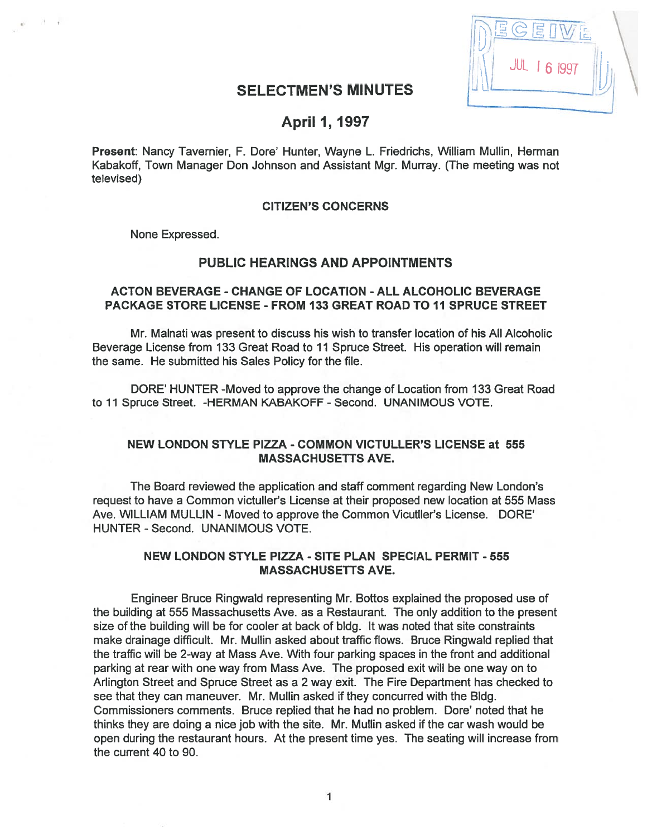| 谓/<br>$S$ EI |  |
|--------------|--|
| JUL 1 6 1997 |  |
|              |  |

# SELECTMEN'S MINUTES

# April 1, 1997

Present: Nancy Tavernier, F. Dore' Hunter, Wayne L. Friedrichs, William Mullin, Herman Kabakoff, Town Manager Don Johnson and Assistant Mgr. Murray. (The meeting was not televised)

#### CITIZEN'S CONCERNS

None Expressed.

# PUBLIC HEARINGS AND APPOINTMENTS

### ACTON BEVERAGE - CHANGE OF LOCATION - ALL ALCOHOLIC BEVERAGE PACKAGE STORE LICENSE - FROM 133 GREAT ROAD TO 11 SPRUCE STREET

Mr. Malnati was presen<sup>t</sup> to discuss his wish to transfer location of his All Alcoholic Beverage License from 133 Great Road to 11 Spruce Street. His operation will remain the same. He submitted his Sales Policy for the file.

DORE' HUNTER -Moved to approve the change of Location from 133 Great Road to 11 Spruce Street. - HERMAN KABAKOFF - Second. UNANIMOUS VOTE.

## NEW LONDON STYLE PIZZA - COMMON VICTULLER'S LICENSE at 555 MASSACHUSETTS AVE.

The Board reviewed the application and staff comment regarding New London's reques<sup>t</sup> to have <sup>a</sup> Common victuller's License at their proposed new location at 555 Mass Ave. WILLIAM MULLIN - Moved to approve the Common Vicutller's License. DORE' HUNTER - Second. UNANIMOUS VOTE.

## NEW LONDON STYLE PIZZA - SITE PLAN SPECIAL PERMIT - 555 MASSACHUSETTS AVE.

Engineer Bruce Ringwald representing Mr. Bottos explained the proposed use of the building at 555 Massachusetts Ave. as <sup>a</sup> Restaurant. The only addition to the presen<sup>t</sup> size of the building will be for cooler at back of bldg. It was noted that site constraints make drainage difficult. Mr. Mullin asked about traffic flows. Bruce Ringwald replied that the traffic will be 2-way at Mass Ave. With four parking spaces in the front and additional parking at rear with one way from Mass Ave. The proposed exit will be one way on to Arlington Street and Spruce Street as <sup>a</sup> 2 way exit. The Fire Department has checked to see that they can maneuver. Mr. Mullin asked if they concurred with the Bldg. Commissioners comments. Bruce replied that he had no problem. Dore' noted that he thinks they are doing <sup>a</sup> nice job with the site. Mr. Mullin asked if the car wash would be open during the restaurant hours. At the presen<sup>t</sup> time yes. The seating will increase from the current 40 to 90.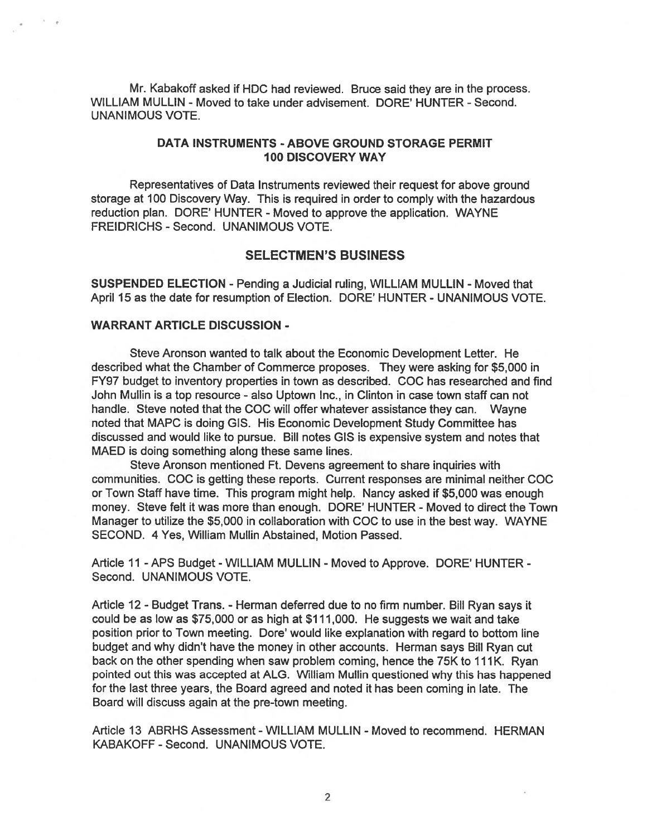Mr. Kabakoff asked if HDC had reviewed. Bruce said they are in the process. WILLIAM MULLIN - Moved to take under advisement. DORE' HUNTER -Second. UNANIMOUS VOTE.

### DATA INSTRUMENTS - ABOVE GROUND STORAGE PERMIT 100 DISCOVERY WAY

Representatives of Data Instruments reviewed their reques<sup>t</sup> for above ground storage at 100 Discovery Way. This is required in order to comply with the hazardous reduction plan. DORE' HUNTER - Moved to approve the application. WAYNE FREIDRICHS - Second. UNANIMOUS VOTE.

## SELECTMEN'S BUSINESS

SUSPENDED ELECTION - Pending a Judicial ruling, WILLIAM MULLIN - Moved that April 15 as the date for resumption of Election. DORE' HUNTER - UNANIMOUS VOTE.

### WARRANT ARTICLE DISCUSSION -

Steve Aronson wanted to talk about the Economic Development Letter. He described what the Chamber of Commerce proposes. They were asking for \$5,000 in FY97 budget to inventory properties in town as described. COC has researched and find John Mullin is <sup>a</sup> top resource - also Uptown Inc., in Clinton in case town staff can not handle. Steve noted that the COC will offer whatever assistance they can. Wayne noted that MAPC is doing GIS. His Economic Development Study Committee has discussed and would like to pursue. Bill notes GIS is expensive system and notes that MAED is doing something along these same lines.

Steve Aronson mentioned Ft. Devens agreemen<sup>t</sup> to share inquiries with communities. COC is getting these reports. Current responses are minimal neither COC or Town Staff have time. This program might help. Nancy asked if \$5,000 was enough money. Steve felt it was more than enough. DORE' HUNTER - Moved to direct the Town Manager to utilize the \$5,000 in collaboration with COC to use in the best way. WAYNE SECOND. 4 Yes, William Mullin Abstained, Motion Passed.

Article 11 -APS Budget -WILLIAM MULLIN - Moved to Approve. DORE' HUNTER - Second. UNANIMOUS VOTE.

Article 12 - Budget Trans. - Herman deferred due to no firm number. Bill Ryan says it could be as low as \$75,000 or as high at \$111,000. He suggests we wait and take position prior to Town meeting. Dore' would like explanation with regard to bottom line budget and why didn't have the money in other accounts. Herman says Bill Ryan cut back on the other spending when saw problem coming, hence the 75K to 111K. Ryan pointed out this was accepted at ALG. William Mullin questioned why this has happened for the last three years, the Board agreed and noted it has been coming in late. The Board will discuss again at the pre-town meeting.

Article 13 ABRHS Assessment - WILLIAM MULLIN - Moved to recommend. HERMAN KABAKOFF - Second. UNANIMOUS VOTE.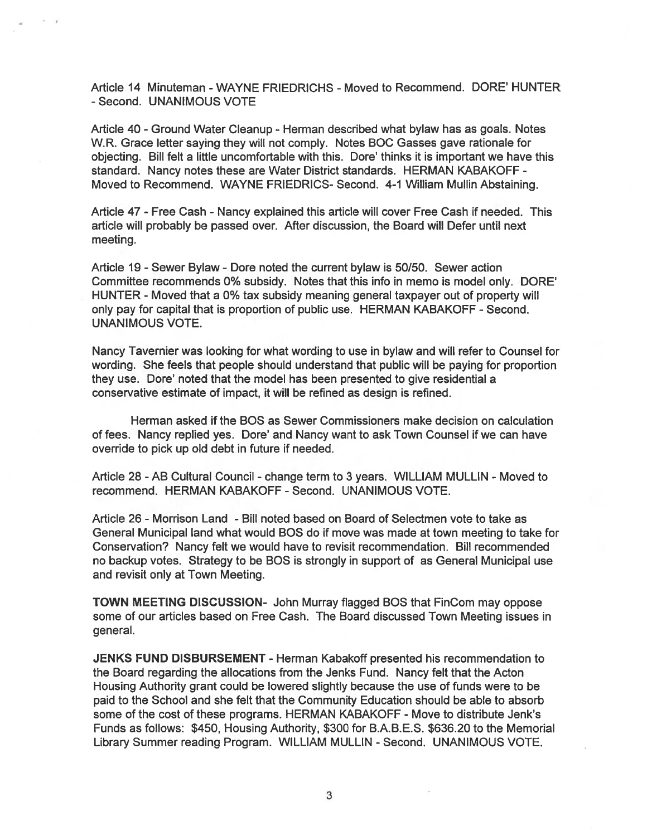Article 14 Minuteman - WAYNE FRIEDRICHS -Moved to Recommend. DORE' HUNTER - Second. UNANIMOUS VOTE

Article 40 - Ground Water Cleanup - Herman described what bylaw has as goals. Notes W.R. Grace letter saying they will not comply. Notes BOC Gasses gave rationale for objecting. Bill felt <sup>a</sup> little uncomfortable with this. Dore' thinks it is important we have this standard. Nancy notes these are Water District standards. HERMAN KABAKOFF - Moved to Recommend. WAYNE FRIEDRICS- Second. 4-1 William Mullin Abstaining.

Article 47 - Free Cash - Nancy explained this article will cover Free Cash if needed. This article will probably be passed over. After discussion, the Board will Defer until next meeting.

Article 19 -Sewer Bylaw - Dore noted the current bylaw is 50/50. Sewer action Committee recommends 0% subsidy. Notes that this info in memo is model only. DORE' HUNTER - Moved that <sup>a</sup> 0% tax subsidy meaning general taxpayer out of property will only pay for capital that is proportion of public use. HERMAN KABAKOFF - Second. UNANIMOUS VOTE.

Nancy Tavernier was looking for what wording to use in bylaw and will refer to Counsel for wording. She feels that people should understand that public will be paying for proportion they use. Dore' noted that the model has been presented to give residential <sup>a</sup> conservative estimate of impact, it will be refined as design is refined.

Herman asked if the BOS as Sewer Commissioners make decision on calculation of fees. Nancy replied yes. Dore' and Nancy want to ask Town Counsel if we can have override to pick up old debt in future if needed.

Article 28 -AB Cultural Council - change term to 3 years. WILLIAM MULLIN -Moved to recommend. HERMAN KABAKOFF - Second. UNANIMOUS VOTE.

Article 26 -Morrison Land - Bill noted based on Board of Selectmen vote to take as General Municipal land what would BOS do if move was made at town meeting to take for Conservation? Nancy felt we would have to revisit recommendation. Bill recommended no backup votes. Strategy to be BOS is strongly in suppor<sup>t</sup> of as General Municipal use and revisit only at Town Meeting.

TOWN MEETING DISCUSSION- John Murray flagged BOS that FinCom may oppose some of our articles based on Free Cash. The Board discussed Town Meeting issues in general.

JENKS FUND DISBURSEMENT - Herman Kabakoff presented his recommendation to the Board regarding the allocations from the Jenks Fund. Nancy felt that the Acton Housing Authority gran<sup>t</sup> could be lowered slightly because the use of funds were to be paid to the School and she felt that the Community Education should be able to absorb some of the cost of these programs. HERMAN KABAKOFF - Move to distribute Jenk's Funds as follows: \$450, Housing Authority, \$300 for B.A.B.E.S. \$636.20 to the Memorial Library Summer reading Program. WILLIAM MULLIN - Second. UNANIMOUS VOTE.